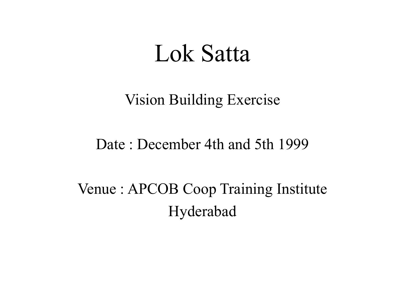# Lok Satta

Vision Building Exercise

#### Date : December 4th and 5th 1999

Venue : APCOB Coop Training Institute Hyderabad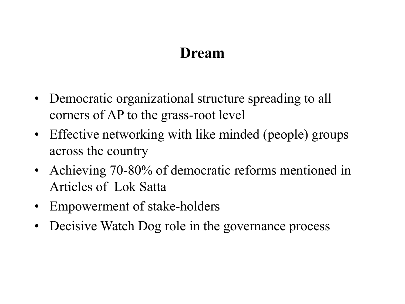#### Dream

- Democratic organizational structure spreading to all corners of AP to the grass-root level
- Effective networking with like minded (people) groups across the country
- Achieving 70-80% of democratic reforms mentioned in Articles of Lok Satta
- Empowerment of stake-holders
- Decisive Watch Dog role in the governance process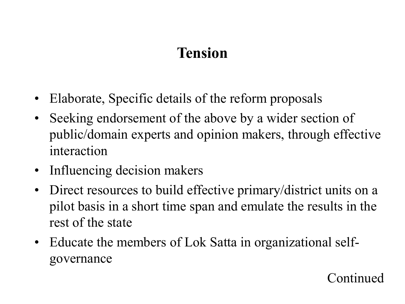## Tension

- Elaborate, Specific details of the reform proposals
- Seeking endorsement of the above by a wider section of public/domain experts and opinion makers, through effective interaction
- Influencing decision makers
- Direct resources to build effective primary/district units on a pilot basis in a short time span and emulate the results in the rest of the state
- Educate the members of Lok Satta in organizational selfgovernance

#### Continued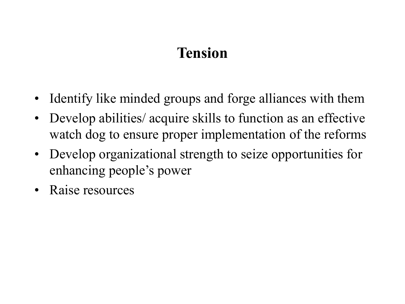## Tension

- Identify like minded groups and forge alliances with them
- Develop abilities/ acquire skills to function as an effective watch dog to ensure proper implementation of the reforms
- Develop organizational strength to seize opportunities for enhancing people's power
- Raise resources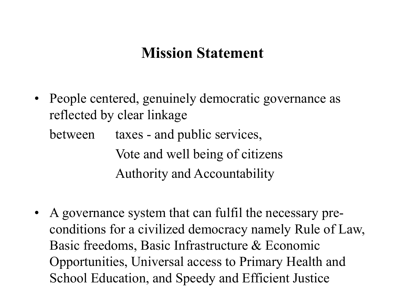## Mission Statement

• People centered, genuinely democratic governance as reflected by clear linkage

between taxes - and public services, Vote and well being of citizens Authority and Accountability

• A governance system that can fulfil the necessary preconditions for a civilized democracy namely Rule of Law, Basic freedoms, Basic Infrastructure & Economic Opportunities, Universal access to Primary Health and School Education, and Speedy and Efficient Justice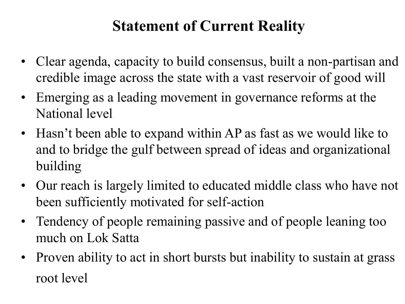## Statement of Current Reality

- Clear agenda, capacity to build consensus, built a non-partisan and credible image across the state with a vast reservoir of good will
- Emerging as a leading movement in governance reforms at the National level
- Hasn't been able to expand within AP as fast as we would like to and to bridge the gulf between spread of ideas and organizational building
- Our reach is largely limited to educated middle class who have not been sufficiently motivated for self-action
- Tendency of people remaining passive and of people leaning too much on Lok Satta
- Proven ability to act in short bursts but inability to sustain at grass root level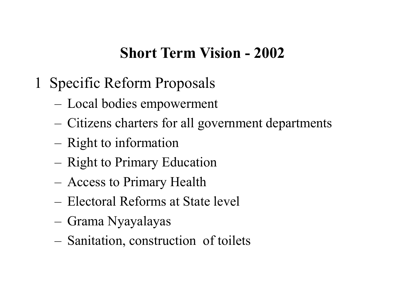## Short Term Vision - 2002

- 1 Specific Reform Proposals
	- Local bodies empowerment
	- Citizens charters for all government departments
	- Right to information
	- Right to Primary Education
	- Access to Primary Health
	- Electoral Reforms at State level
	- Grama Nyayalayas
	- Sanitation, construction of toilets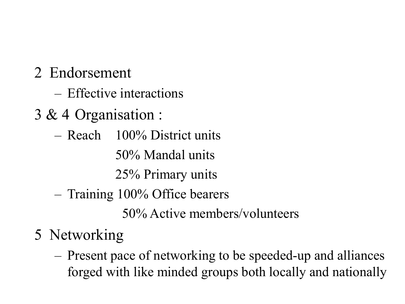- 2 Endorsement
	- Effective interactions
- 3 & 4 Organisation :
	- Reach 100% District units
		- 50% Mandal units
		- 25% Primary units
	- Training 100% Office bearers
		- 50% Active members/volunteers
- 5 Networking
	- Present pace of networking to be speeded-up and alliances forged with like minded groups both locally and nationally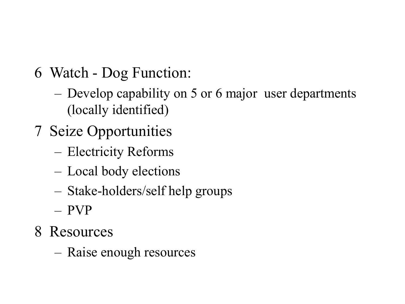- 6 Watch Dog Function:
	- Develop capability on 5 or 6 major user departments (locally identified)
- 7 Seize Opportunities
	- Electricity Reforms
	- Local body elections
	- Stake-holders/self help groups
	- PVP
- 8 Resources
	- Raise enough resources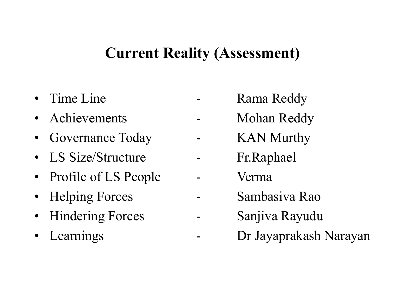#### Current Reality (Assessment)

- 
- 
- 
- LS Size/Structure Fr.Raphael
- Profile of LS People Verma
- 
- 
- 
- Time Line **-** Rama Reddy
- Achievements Mohan Reddy
- Governance Today KAN Murthy
	-
	-
- Helping Forces Sambasiva Rao
- Hindering Forces Sanjiva Rayudu
- Learnings Dr Jayaprakash Narayan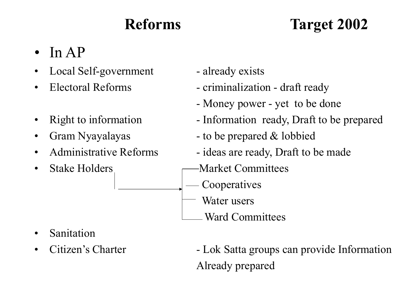# Reforms Target 2002

- In  $AP$
- Local Self-government already exists
- 
- 
- 
- 
- 
- 
- Electoral Reforms criminalization draft ready
	- Money power yet to be done
- Right to information Information ready, Draft to be prepared
- Gram Nyayalayas  $\bullet$  to be prepared  $\&$  lobbied
	- Administrative Reforms ideas are ready, Draft to be made
- Stake Holders Market Committees
	- Cooperatives
	- Water users
	- Ward Committees

- **Sanitation**
- - Citizen's Charter Lok Satta groups can provide Information Already prepared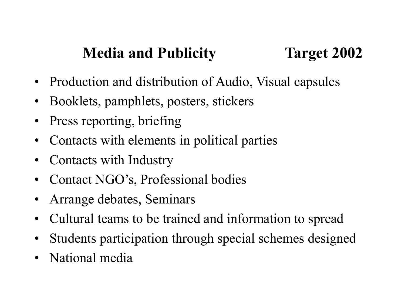# Media and Publicity Target 2002

- Production and distribution of Audio, Visual capsules
- Booklets, pamphlets, posters, stickers
- Press reporting, briefing
- Contacts with elements in political parties
- Contacts with Industry
- Contact NGO's, Professional bodies
- Arrange debates, Seminars
- Cultural teams to be trained and information to spread
- Students participation through special schemes designed
- National media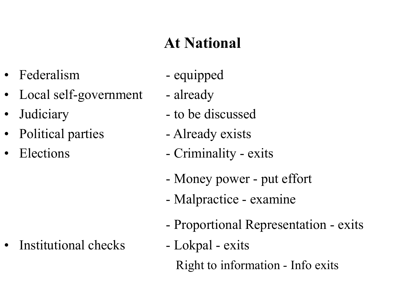# At National

- Federalism equipped
- Local self-government already
- 
- Political parties Already exists
- 

Institutional checks - Lokpal - exits

- 
- 
- Judiciary to be discussed
	-
	- Elections Criminality exits
		- Money power put effort
		- Malpractice examine
		- Proportional Representation exits
		- Right to information Info exits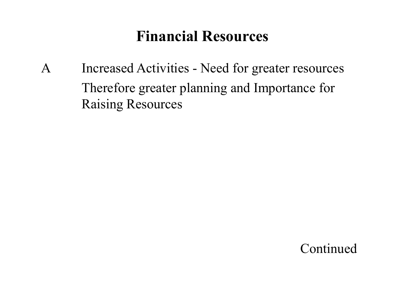## Financial Resources

A Increased Activities - Need for greater resources Therefore greater planning and Importance for Raising Resources

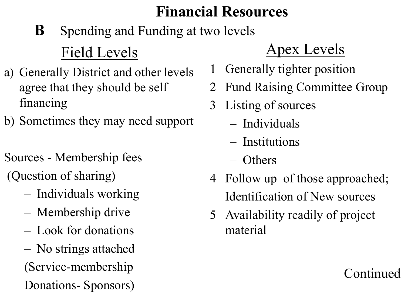# Financial Resources

# **B** Spending and Funding at two levels Field Levels

- a) Generally District and other levels agree that they should be self financing
- b) Sometimes they may need support
- Sources Membership fees
- (Question of sharing)
	- Individuals working
	- Membership drive
	- Look for donations
	- No strings attached (Service-membership Donations- Sponsors)

# Apex Levels

- 1 Generally tighter position
- 2 Fund Raising Committee Group
- 3 Listing of sources
	- Individuals
	- Institutions
	- Others
- 4 Follow up of those approached; Identification of New sources
- 5 Availability readily of project material

#### Continued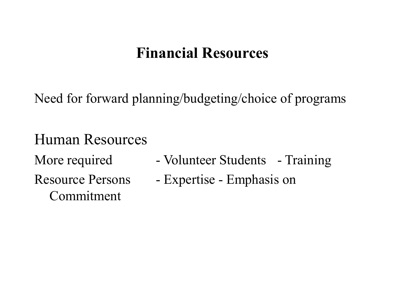## Financial Resources

Need for forward planning/budgeting/choice of programs

#### Human Resources

Commitment

- More required Volunteer Students Training
- Resource Persons Expertise Emphasis on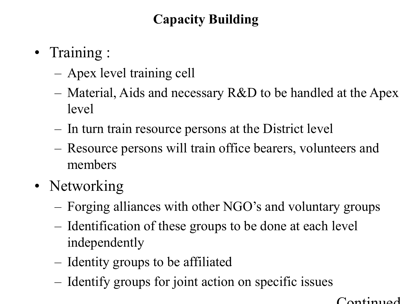## Capacity Building

- Training :
	- Apex level training cell
	- Material, Aids and necessary R&D to be handled at the Apex level
	- In turn train resource persons at the District level
	- Resource persons will train office bearers, volunteers and members
- Networking
	- Forging alliances with other NGO's and voluntary groups
	- Identification of these groups to be done at each level independently
	- Identity groups to be affiliated
	- Identify groups for joint action on specific issues

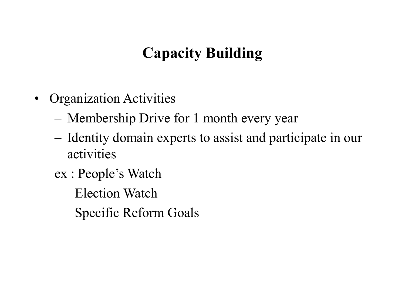## Capacity Building

- Organization Activities
	- Membership Drive for 1 month every year
	- Identity domain experts to assist and participate in our activities
	- ex : People's Watch
		- Election Watch
		- Specific Reform Goals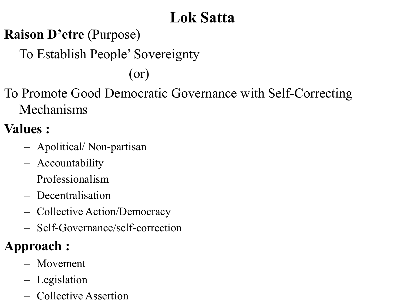# Lok Satta

## Raison D'etre (Purpose)

To Establish People' Sovereignty

(or)

To Promote Good Democratic Governance with Self-Correcting Mechanisms

#### Values :

- Apolitical/ Non-partisan
- Accountability
- Professionalism
- Decentralisation
- Collective Action/Democracy
- Self-Governance/self-correction

### Approach :

- Movement
- Legislation
- Collective Assertion